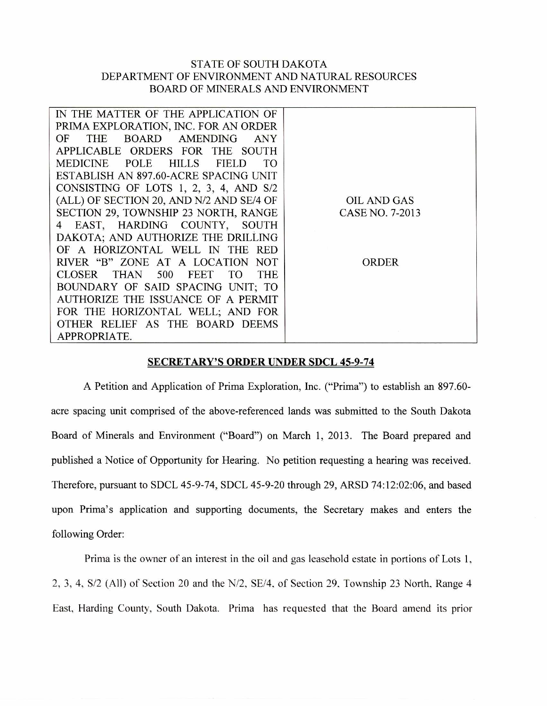## STATE OF SOUTH DAKOTA DEPARTMENT OF ENVIRONMENT AND NATURAL RESOURCES BOARD OF MINERALS AND ENVIRONMENT

| IN THE MATTER OF THE APPLICATION OF              |                    |
|--------------------------------------------------|--------------------|
| PRIMA EXPLORATION, INC. FOR AN ORDER             |                    |
| BOARD AMENDING<br><b>THE</b><br>OF<br>ANY        |                    |
| APPLICABLE ORDERS FOR THE SOUTH                  |                    |
| MEDICINE POLE HILLS<br><b>FIELD</b><br>TO        |                    |
| ESTABLISH AN 897.60-ACRE SPACING UNIT            |                    |
| CONSISTING OF LOTS 1, 2, 3, 4, AND S/2           |                    |
| (ALL) OF SECTION 20, AND N/2 AND SE/4 OF         | <b>OIL AND GAS</b> |
| SECTION 29, TOWNSHIP 23 NORTH, RANGE             | CASE NO. 7-2013    |
| EAST, HARDING COUNTY, SOUTH<br>4                 |                    |
| DAKOTA; AND AUTHORIZE THE DRILLING               |                    |
| OF A HORIZONTAL WELL IN THE RED                  |                    |
| RIVER "B" ZONE AT A LOCATION<br>NOT <sub>1</sub> | ORDER              |
| CLOSER THAN 500 FEET<br><b>THE</b><br>TO.        |                    |
| BOUNDARY OF SAID SPACING UNIT; TO                |                    |
| AUTHORIZE THE ISSUANCE OF A PERMIT               |                    |
| FOR THE HORIZONTAL WELL; AND FOR                 |                    |
| OTHER RELIEF AS THE BOARD DEEMS                  |                    |
| APPROPRIATE.                                     |                    |
|                                                  |                    |

## SECRETARY'S ORDER UNDER SDCL 45-9-74

A Petition and Application of Prima Exploration, Inc. ("Prima") to establish an 897.60 acre spacing unit comprised of the above-referenced lands was submitted to the South Dakota Board of Minerals and Environment ("Board") on March 1, 2013. The Board prepared and published a Notice of Opportunity for Hearing. No petition requesting a hearing was received. Therefore, pursuant to SDCL 45-9-74, SDCL 45-9-20 through 29, ARSD 74:12:02:06, and based upon Prima's application and supporting documents, the Secretary makes and enters the following Order:

Prima is the owner of an interest in the oil and gas leasehold estate in portions of Lots 1, 2, 3, 4, S/2 (All) of Section 20 and the N/2, SE/4, of Section 29, Township 23 North, Range 4 East, Harding County, South Dakota. Prima has requested that the Board amend its prior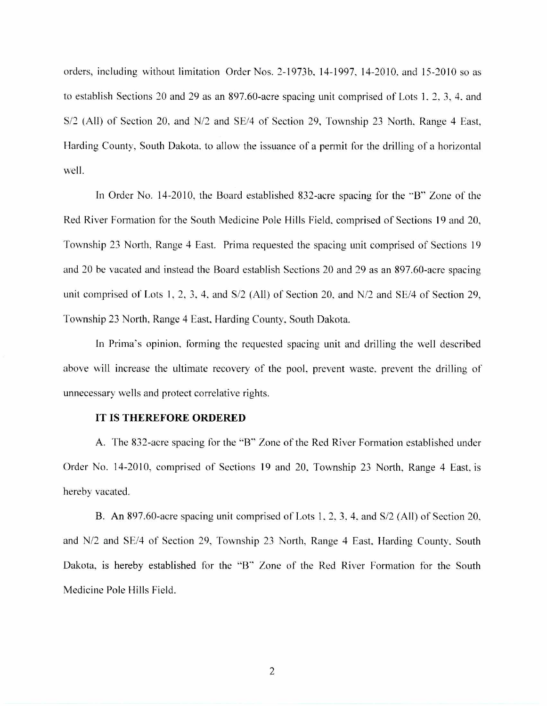orders, including without limitation Order Nos. 2-1973b. 14-1997, 14-2010, and 15-2010 so as to establish Sections 20 and 29 as an 897.60-acre spacing unit comprised of Lots 1. 2, 3, 4. and S/2 (All) of Section 20, and N/2 and SE/4 of Section 29, Township 23 North. Range 4 East, Harding County, South Dakota, to allow the issuance of a permit for the drilling of a horizontal well.

In Order No. 14-2010, the Board established 832-acre spacing for the "B" Zone of the Red River Formation for the South Medicine Pole Hills Field, comprised of Sections 19 and 20, Township 23 North, Range 4 East. Prima requested the spacing unit comprised of Sections 19 and 20 be vacated and instead the Board establish Sections 20 and 29 as an 897.60-acre spacing unit comprised of Lots 1, 2, 3, 4, and S/2 (All) of Section 20, and N/2 and SE/4 of Section 29, Township 23 North, Range 4 East, Harding County, South Dakota.

In Prima's opinion, forming the requested spacing unit and drilling the well described above will increase the ultimate recovery of the pool, prevent waste, prevent the drilling of unnecessary wells and protect correlative rights.

## IT IS THEREFORE ORDERED

A. The 832-acre spacing for the "B" Zone of the Red River Formation established under Order No. 14-2010, comprised of Sections 19 and 20. Township 23 North, Range 4 East, is hereby vacated.

B. An 897.60-acre spacing unit comprised of Lots 1, 2, 3, 4, and S/2 (All) of Section 20, and N/2 and SE/4 of Section 29, Township 23 North, Range 4 East. Harding County. South Dakota, is hereby established for the "B" Zone of the Red River Formation for the South Medicine Pole Hills Field.

2